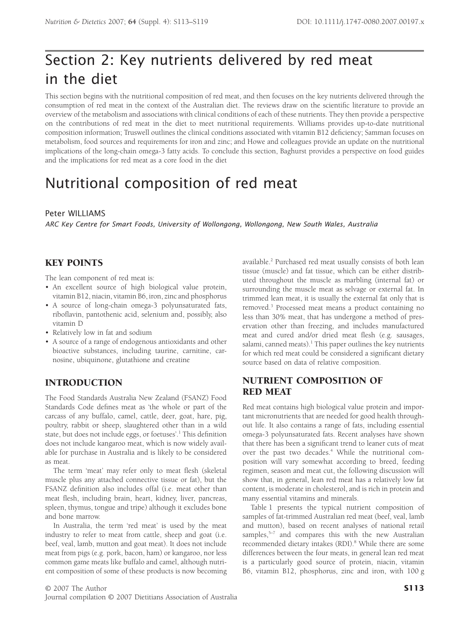# Section 2: Key nutrients delivered by red meat in the diet

This section begins with the nutritional composition of red meat, and then focuses on the key nutrients delivered through the consumption of red meat in the context of the Australian diet. The reviews draw on the scientific literature to provide an overview of the metabolism and associations with clinical conditions of each of these nutrients. They then provide a perspective on the contributions of red meat in the diet to meet nutritional requirements. Williams provides up-to-date nutritional composition information; Truswell outlines the clinical conditions associated with vitamin B12 deficiency; Samman focuses on metabolism, food sources and requirements for iron and zinc; and Howe and colleagues provide an update on the nutritional implications of the long-chain omega-3 fatty acids. To conclude this section, Baghurst provides a perspective on food guides and the implications for red meat as a core food in the diet

# Nutritional composition of red meat

#### Peter WILLIAMS

*ARC Key Centre for Smart Foods, University of Wollongong, Wollongong, New South Wales, Australia*

# KEY POINTS

The lean component of red meat is:

- An excellent source of high biological value protein, vitamin B12, niacin, vitamin B6, iron, zinc and phosphorus
- A source of long-chain omega-3 polyunsaturated fats, riboflavin, pantothenic acid, selenium and, possibly, also vitamin D
- Relatively low in fat and sodium
- A source of a range of endogenous antioxidants and other bioactive substances, including taurine, carnitine, carnosine, ubiquinone, glutathione and creatine

# INTRODUCTION

The Food Standards Australia New Zealand (FSANZ) Food Standards Code defines meat as 'the whole or part of the carcass of any buffalo, camel, cattle, deer, goat, hare, pig, poultry, rabbit or sheep, slaughtered other than in a wild state, but does not include eggs, or foetuses'.<sup>1</sup> This definition does not include kangaroo meat, which is now widely available for purchase in Australia and is likely to be considered as meat.

The term 'meat' may refer only to meat flesh (skeletal muscle plus any attached connective tissue or fat), but the FSANZ definition also includes offal (i.e. meat other than meat flesh, including brain, heart, kidney, liver, pancreas, spleen, thymus, tongue and tripe) although it excludes bone and bone marrow.

In Australia, the term 'red meat' is used by the meat industry to refer to meat from cattle, sheep and goat (i.e. beef, veal, lamb, mutton and goat meat). It does not include meat from pigs (e.g. pork, bacon, ham) or kangaroo, nor less common game meats like buffalo and camel, although nutrient composition of some of these products is now becoming available.2 Purchased red meat usually consists of both lean tissue (muscle) and fat tissue, which can be either distributed throughout the muscle as marbling (internal fat) or surrounding the muscle meat as selvage or external fat. In trimmed lean meat, it is usually the external fat only that is removed.3 Processed meat means a product containing no less than 30% meat, that has undergone a method of preservation other than freezing, and includes manufactured meat and cured and/or dried meat flesh (e.g. sausages, salami, canned meats).<sup>1</sup> This paper outlines the key nutrients for which red meat could be considered a significant dietary source based on data of relative composition.

# NUTRIENT COMPOSITION OF RED MEAT

Red meat contains high biological value protein and important micronutrients that are needed for good health throughout life. It also contains a range of fats, including essential omega-3 polyunsaturated fats. Recent analyses have shown that there has been a significant trend to leaner cuts of meat over the past two decades.<sup>4</sup> While the nutritional composition will vary somewhat according to breed, feeding regimen, season and meat cut, the following discussion will show that, in general, lean red meat has a relatively low fat content, is moderate in cholesterol, and is rich in protein and many essential vitamins and minerals.

Table 1 presents the typical nutrient composition of samples of fat-trimmed Australian red meat (beef, veal, lamb and mutton), based on recent analyses of national retail samples, $5-7$  and compares this with the new Australian recommended dietary intakes (RDI).<sup>8</sup> While there are some differences between the four meats, in general lean red meat is a particularly good source of protein, niacin, vitamin B6, vitamin B12, phosphorus, zinc and iron, with 100 g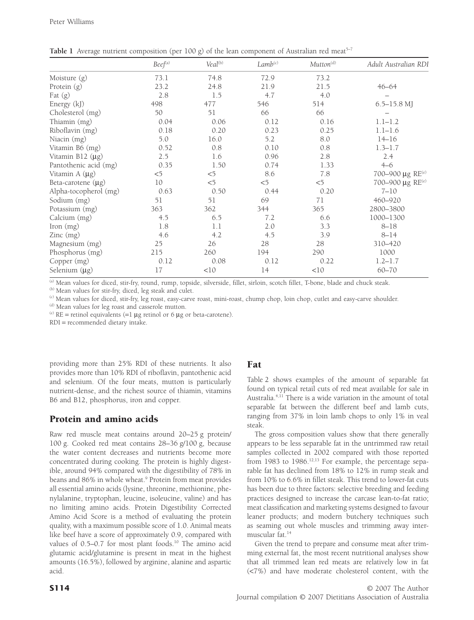|                            | $Beef^{(a)}$ | Veal <sup>(b)</sup> | $Lamb$ <sup>(c)</sup> | Mutton <sup>(d)</sup> | Adult Australian RDI              |
|----------------------------|--------------|---------------------|-----------------------|-----------------------|-----------------------------------|
| Moisture $(g)$             | 73.1         | 74.8                | 72.9                  | 73.2                  |                                   |
| Protein (g)                | 23.2         | 24.8                | 21.9                  | 21.5                  | $46 - 64$                         |
| Fat $(g)$                  | 2.8          | 1.5                 | 4.7                   | 4.0                   |                                   |
| Energy (kJ)                | 498          | 477                 | 546                   | 514                   | $6.5 - 15.8$ MJ                   |
| Cholesterol (mg)           | 50           | 51                  | 66                    | 66                    |                                   |
| Thiamin (mg)               | 0.04         | 0.06                | 0.12                  | 0.16                  | $1.1 - 1.2$                       |
| Riboflavin (mg)            | 0.18         | 0.20                | 0.23                  | 0.25                  | $1.1 - 1.6$                       |
| Niacin (mg)                | 5.0          | 16.0                | 5.2                   | 8.0                   | $14 - 16$                         |
| Vitamin B6 (mg)            | 0.52         | 0.8                 | 0.10                  | 0.8                   | $1.3 - 1.7$                       |
| Vitamin B12 $(\mu g)$      | 2.5          | 1.6                 | 0.96                  | 2.8                   | 2.4                               |
| Pantothenic acid (mg)      | 0.35         | 1.50                | 0.74                  | 1.33                  | $4 - 6$                           |
| Vitamin A $(\mu g)$        | $<$ 5        | $<$ 5               | 8.6                   | 7.8                   | 700-900 $\mu$ g RE <sup>(e)</sup> |
| Beta-carotene $(\mu g)$    | 10           | $<$ 5               | $<$ 5                 | $<$ 5                 | 700-900 μg RE <sup>(e)</sup>      |
| Alpha-tocopherol (mg)      | 0.63         | 0.50                | 0.44                  | 0.20                  | $7 - 10$                          |
| Sodium (mg)                | 51           | 51                  | 69                    | 71                    | 460-920                           |
| Potassium (mg)             | 363          | 362                 | 344                   | 365                   | 2800-3800                         |
| Calcium (mg)               | 4.5          | 6.5                 | 7.2                   | 6.6                   | 1000-1300                         |
| Iron $(mg)$                | 1.8          | 1.1                 | 2.0                   | 3.3                   | $8 - 18$                          |
| $\text{Zinc} \text{ (mg)}$ | 4.6          | 4.2                 | 4.5                   | 3.9                   | $8 - 14$                          |
| Magnesium (mg)             | 25           | 26                  | 28                    | 28                    | 310-420                           |
| Phosphorus (mg)            | 215          | 260                 | 194                   | 290                   | 1000                              |
| Copper (mg)                | 0.12         | 0.08                | 0.12                  | 0.22                  | $1.2 - 1.7$                       |
| Selenium $(\mu g)$         | 17           | <10                 | 14                    | <10                   | $60 - 70$                         |

**Table 1** Average nutrient composition (per 100 g) of the lean component of Australian red meat<sup>5-7</sup>

<sup>(a)</sup> Mean values for diced, stir-fry, round, rump, topside, silverside, fillet, sirloin, scotch fillet, T-bone, blade and chuck steak.

(b) Mean values for stir-fry, diced, leg steak and culet.

(c) Mean values for diced, stir-fry, leg roast, easy-carve roast, mini-roast, chump chop, loin chop, cutlet and easy-carve shoulder.

(d) Mean values for leg roast and casserole mutton.

<sup>(e)</sup> RE = retinol equivalents (=1  $\mu$ g retinol or 6  $\mu$ g or beta-carotene).

RDI = recommended dietary intake.

providing more than 25% RDI of these nutrients. It also provides more than 10% RDI of riboflavin, pantothenic acid and selenium. Of the four meats, mutton is particularly nutrient-dense, and the richest source of thiamin, vitamins B6 and B12, phosphorus, iron and copper.

# Protein and amino acids

Raw red muscle meat contains around 20–25 g protein/ 100 g. Cooked red meat contains 28–36 g/100 g, because the water content decreases and nutrients become more concentrated during cooking. The protein is highly digestible, around 94% compared with the digestibility of 78% in beans and 86% in whole wheat.<sup>9</sup> Protein from meat provides all essential amino acids (lysine, threonine, methionine, phenylalanine, tryptophan, leucine, isoleucine, valine) and has no limiting amino acids. Protein Digestibility Corrected Amino Acid Score is a method of evaluating the protein quality, with a maximum possible score of 1.0. Animal meats like beef have a score of approximately 0.9, compared with values of  $0.5-0.7$  for most plant foods.<sup>10</sup> The amino acid glutamic acid/glutamine is present in meat in the highest amounts (16.5%), followed by arginine, alanine and aspartic acid.

## Fat

Table 2 shows examples of the amount of separable fat found on typical retail cuts of red meat available for sale in Australia.4,11 There is a wide variation in the amount of total separable fat between the different beef and lamb cuts, ranging from 37% in loin lamb chops to only 1% in veal steak.

The gross composition values show that there generally appears to be less separable fat in the untrimmed raw retail samples collected in 2002 compared with those reported from 1983 to 1986.<sup>12,13</sup> For example, the percentage separable fat has declined from 18% to 12% in rump steak and from 10% to 6.6% in fillet steak. This trend to lower-fat cuts has been due to three factors: selective breeding and feeding practices designed to increase the carcase lean-to-fat ratio; meat classification and marketing systems designed to favour leaner products; and modern butchery techniques such as seaming out whole muscles and trimming away intermuscular fat.14

Given the trend to prepare and consume meat after trimming external fat, the most recent nutritional analyses show that all trimmed lean red meats are relatively low in fat (<7%) and have moderate cholesterol content, with the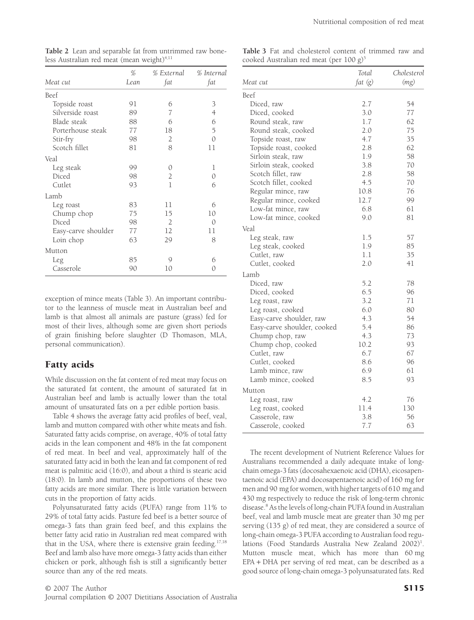*Total*

*Cholesterol*

|                     | %    | % External     | % Internal     |
|---------------------|------|----------------|----------------|
| Meat cut            | Lean | fat            | fat            |
| Beef                |      |                |                |
| Topside roast       | 91   | 6              | 3              |
| Silverside roast    | 89   | 7              | $\overline{4}$ |
| Blade steak         | 88   | 6              | 6              |
| Porterhouse steak   | 77   | 18             | 5              |
| Stir-fry            | 98   | 2              | $\mathcal{O}$  |
| Scotch fillet       | 81   | 8              | 11             |
| Veal                |      |                |                |
| Leg steak           | 99   | 0              | 1              |
| Diced               | 98   | $\overline{2}$ | $\Omega$       |
| Cutlet              | 93   | 1              | 6              |
| Lamb                |      |                |                |
| Leg roast           | 83   | 11             | 6              |
| Chump chop          | 75   | 15             | 10             |
| Diced               | 98   | $\mathcal{D}$  | $\Omega$       |
| Easy-carve shoulder | 77   | 12             | 11             |
| Loin chop           | 63   | 29             | 8              |
| Mutton              |      |                |                |
| Leg                 | 85   | Q              | 6              |
| Casserole           | 90   | 10             | 0              |

**Table 2** Lean and separable fat from untrimmed raw boneless Australian red meat (mean weight) $4,11$ 

**Table 3** Fat and cholesterol content of trimmed raw and cooked Australian red meat (per 100 g)<sup>5</sup>

|                             | roiai   | Choicsteroi |
|-----------------------------|---------|-------------|
| Meat cut                    | fat (g) | (mg)        |
| Beef                        |         |             |
| Diced, raw                  | 2.7     | 54          |
| Diced, cooked               | 3.0     | 77          |
| Round steak, raw            | 1.7     | 62          |
| Round steak, cooked         | 2.0     | 75          |
| Topside roast, raw          | 4.7     | 35          |
| Topside roast, cooked       | 2.8     | 62          |
| Sirloin steak, raw          | 1.9     | 58          |
| Sirloin steak, cooked       | 3.8     | 70          |
| Scotch fillet, raw          | 2.8     | 58          |
| Scotch fillet, cooked       | 4.5     | 70          |
| Regular mince, raw          | 10.8    | 76          |
| Regular mince, cooked       | 12.7    | 99          |
| Low-fat mince, raw          | 6.8     | 61          |
| Low-fat mince, cooked       | 9.0     | 81          |
| Veal                        |         |             |
| Leg steak, raw              | 1.5     | 57          |
| Leg steak, cooked           | 1.9     | 85          |
| Cutlet, raw                 | 1.1     | 35          |
| Cutlet, cooked              | 2.0     | 41          |
| Lamb                        |         |             |
| Diced, raw                  | 5.2     | 78          |
| Diced, cooked               | 6.5     | 96          |
| Leg roast, raw              | 3.2     | 71          |
| Leg roast, cooked           | 6.0     | 80          |
| Easy-carve shoulder, raw    | 4.3     | 54          |
| Easy-carve shoulder, cooked | 5.4     | 86          |
| Chump chop, raw             | 4.3     | 73          |
| Chump chop, cooked          | 10.2    | 93          |
| Cutlet, raw                 | 6.7     | 67          |
| Cutlet, cooked              | 8.6     | 96          |
| Lamb mince, raw             | 6.9     | 61          |
| Lamb mince, cooked          | 8.5     | 93          |
| Mutton                      |         |             |
| Leg roast, raw              | 4.2     | 76          |
| Leg roast, cooked           | 11.4    | 130         |
| Casserole, raw              | 3.8     | 56          |
| Casserole, cooked           | 7.7     | 63          |

exception of mince meats (Table 3). An important contributor to the leanness of muscle meat in Australian beef and lamb is that almost all animals are pasture (grass) fed for most of their lives, although some are given short periods of grain finishing before slaughter (D Thomason, MLA, personal communication).

# Fatty acids

While discussion on the fat content of red meat may focus on the saturated fat content, the amount of saturated fat in Australian beef and lamb is actually lower than the total amount of unsaturated fats on a per edible portion basis.

Table 4 shows the average fatty acid profiles of beef, veal, lamb and mutton compared with other white meats and fish. Saturated fatty acids comprise, on average, 40% of total fatty acids in the lean component and 48% in the fat component of red meat. In beef and veal, approximately half of the saturated fatty acid in both the lean and fat component of red meat is palmitic acid (16:0), and about a third is stearic acid (18:0). In lamb and mutton, the proportions of these two fatty acids are more similar. There is little variation between cuts in the proportion of fatty acids.

Polyunsaturated fatty acids (PUFA) range from 11% to 29% of total fatty acids. Pasture fed beef is a better source of omega-3 fats than grain feed beef, and this explains the better fatty acid ratio in Australian red meat compared with that in the USA, where there is extensive grain feeding.<sup>17,18</sup> Beef and lamb also have more omega-3 fatty acids than either chicken or pork, although fish is still a significantly better source than any of the red meats.

The recent development of Nutrient Reference Values for Australians recommended a daily adequate intake of longchain omega-3 fats (docosahexaenoic acid (DHA), eicosapentaenoic acid (EPA) and docosapentaenoic acid) of 160 mg for men and 90 mg for women, with higher targets of 610 mg and 430 mg respectively to reduce the risk of long-term chronic disease.8 As the levels of long-chain PUFA found in Australian beef, veal and lamb muscle meat are greater than 30 mg per serving (135 g) of red meat, they are considered a source of long-chain omega-3 PUFA according to Australian food regulations (Food Standards Australia New Zealand 2002)<sup>1</sup>. Mutton muscle meat, which has more than 60 mg EPA + DHA per serving of red meat, can be described as a good source of long-chain omega-3 polyunsaturated fats. Red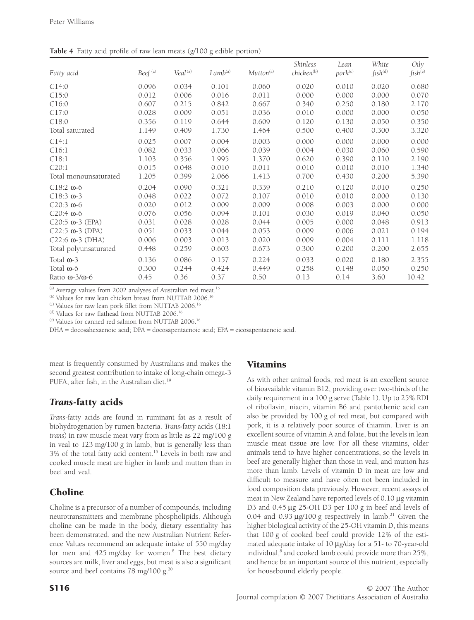| Fatty acid                     | Beef <sup>(a)</sup> | Veal <sup>(a)</sup> | $Lamb$ <sup>(a)</sup> | Mutton <sup>(a)</sup> | Skinless<br>chicken <sup>(b)</sup> | Lean<br>pork <sup>(c)</sup> | White<br>fish <sup>(d)</sup> | Oily<br>fish <sup>(e)</sup> |
|--------------------------------|---------------------|---------------------|-----------------------|-----------------------|------------------------------------|-----------------------------|------------------------------|-----------------------------|
| C14:0                          | 0.096               | 0.034               | 0.101                 | 0.060                 | 0.020                              | 0.010                       | 0.020                        | 0.680                       |
| C15:0                          | 0.012               | 0.006               | 0.016                 | 0.011                 | 0.000                              | 0.000                       | 0.000                        | 0.070                       |
| C16:0                          | 0.607               | 0.215               | 0.842                 | 0.667                 | 0.340                              | 0.250                       | 0.180                        | 2.170                       |
| C17:0                          | 0.028               | 0.009               | 0.051                 | 0.036                 | 0.010                              | 0.000                       | 0.000                        | 0.050                       |
| C18:0                          | 0.356               | 0.119               | 0.644                 | 0.609                 | 0.120                              | 0.130                       | 0.050                        | 0.350                       |
| Total saturated                | 1.149               | 0.409               | 1.730                 | 1.464                 | 0.500                              | 0.400                       | 0.300                        | 3.320                       |
| C14:1                          | 0.025               | 0.007               | 0.004                 | 0.003                 | 0.000                              | 0.000                       | 0.000                        | 0.000                       |
| C16:1                          | 0.082               | 0.033               | 0.066                 | 0.039                 | 0.004                              | 0.030                       | 0.060                        | 0.590                       |
| C18:1                          | 1.103               | 0.356               | 1.995                 | 1.370                 | 0.620                              | 0.390                       | 0.110                        | 2.190                       |
| C20:1                          | 0.015               | 0.048               | 0.010                 | 0.011                 | 0.010                              | 0.010                       | 0.010                        | 1.340                       |
| Total monounsaturated          | 1.205               | 0.399               | 2.066                 | 1.413                 | 0.700                              | 0.430                       | 0.200                        | 5.390                       |
| $C18:2 \omega - 6$             | 0.204               | 0.090               | 0.321                 | 0.339                 | 0.210                              | 0.120                       | 0.010                        | 0.250                       |
| $C18:3$ $\omega$ -3            | 0.048               | 0.022               | 0.072                 | 0.107                 | 0.010                              | 0.010                       | 0.000                        | 0.130                       |
| $C20:3$ $\omega$ -6            | 0.020               | 0.012               | 0.009                 | 0.009                 | 0.008                              | 0.003                       | 0.000                        | 0.000                       |
| $C20:4$ $\omega$ -6            | 0.076               | 0.056               | 0.094                 | 0.101                 | 0.030                              | 0.019                       | 0.040                        | 0.050                       |
| $C20:5$ $\omega$ -3 (EPA)      | 0.031               | 0.028               | 0.028                 | 0.044                 | 0.005                              | 0.000                       | 0.048                        | 0.913                       |
| $C22:5 \omega-3$ (DPA)         | 0.051               | 0.033               | 0.044                 | 0.053                 | 0.009                              | 0.006                       | 0.021                        | 0.194                       |
| $C22:6$ $\omega$ -3 (DHA)      | 0.006               | 0.003               | 0.013                 | 0.020                 | 0.009                              | 0.004                       | 0.111                        | 1.118                       |
| Total polyunsaturated          | 0.448               | 0.259               | 0.603                 | 0.673                 | 0.300                              | 0.200                       | 0.200                        | 2.655                       |
| Total $\omega$ -3              | 0.136               | 0.086               | 0.157                 | 0.224                 | 0.033                              | 0.020                       | 0.180                        | 2.355                       |
| Total $\omega$ -6              | 0.300               | 0.244               | 0.424                 | 0.449                 | 0.258                              | 0.148                       | 0.050                        | 0.250                       |
| Ratio $\omega$ -3/ $\omega$ -6 | 0.45                | 0.36                | 0.37                  | 0.50                  | 0.13                               | 0.14                        | 3.60                         | 10.42                       |

**Table 4** Fatty acid profile of raw lean meats (g/100 g edible portion)

 $^{(a)}$  Average values from 2002 analyses of Australian red meat.<sup>15</sup>

(b) Values for raw lean chicken breast from NUTTAB 2006.<sup>16</sup>

 $(c)$  Values for raw lean pork fillet from NUTTAB 2006.<sup>16</sup>

(d) Values for raw flathead from NUTTAB 2006.<sup>16</sup>

(e) Values for canned red salmon from NUTTAB 2006.16

DHA = docosahexaenoic acid; DPA = docosapentaenoic acid; EPA = eicosapentaenoic acid.

meat is frequently consumed by Australians and makes the second greatest contribution to intake of long-chain omega-3 PUFA, after fish, in the Australian diet.<sup>19</sup>

## *Trans*-fatty acids

*Trans*-fatty acids are found in ruminant fat as a result of biohydrogenation by rumen bacteria. *Trans*-fatty acids (18:1 *trans*) in raw muscle meat vary from as little as 22 mg/100 g in veal to 123 mg/100 g in lamb, but is generally less than 3% of the total fatty acid content.15 Levels in both raw and cooked muscle meat are higher in lamb and mutton than in beef and veal.

# Choline

Choline is a precursor of a number of compounds, including neurotransmitters and membrane phospholipids. Although choline can be made in the body, dietary essentiality has been demonstrated, and the new Australian Nutrient Reference Values recommend an adequate intake of 550 mg/day for men and  $425$  mg/day for women.<sup>8</sup> The best dietary sources are milk, liver and eggs, but meat is also a significant source and beef contains 78 mg/100 g. $^{20}$ 

#### Vitamins

As with other animal foods, red meat is an excellent source of bioavailable vitamin B12, providing over two-thirds of the daily requirement in a 100 g serve (Table 1). Up to 25% RDI of riboflavin, niacin, vitamin B6 and pantothenic acid can also be provided by 100 g of red meat, but compared with pork, it is a relatively poor source of thiamin. Liver is an excellent source of vitamin A and folate, but the levels in lean muscle meat tissue are low. For all these vitamins, older animals tend to have higher concentrations, so the levels in beef are generally higher than those in veal, and mutton has more than lamb. Levels of vitamin D in meat are low and difficult to measure and have often not been included in food composition data previously. However, recent assays of meat in New Zealand have reported levels of  $0.10 \mu$ g vitamin D3 and 0.45 µg 25-OH D3 per 100 g in beef and levels of 0.04 and 0.93  $\mu$ g/100 g respectively in lamb.<sup>21</sup> Given the higher biological activity of the 25-OH vitamin D, this means that 100 g of cooked beef could provide 12% of the estimated adequate intake of 10  $\mu$ g/day for a 51- to 70-year-old individual,<sup>8</sup> and cooked lamb could provide more than 25%, and hence be an important source of this nutrient, especially for housebound elderly people.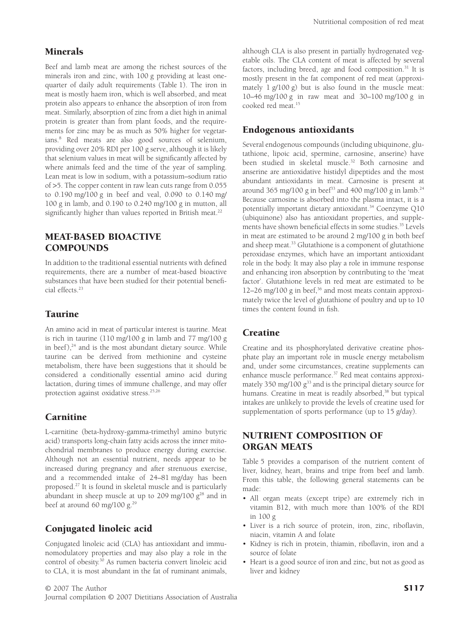#### Minerals

Beef and lamb meat are among the richest sources of the minerals iron and zinc, with 100 g providing at least onequarter of daily adult requirements (Table 1). The iron in meat is mostly haem iron, which is well absorbed, and meat protein also appears to enhance the absorption of iron from meat. Similarly, absorption of zinc from a diet high in animal protein is greater than from plant foods, and the requirements for zinc may be as much as 50% higher for vegetarians.8 Red meats are also good sources of selenium, providing over 20% RDI per 100 g serve, although it is likely that selenium values in meat will be significantly affected by where animals feed and the time of the year of sampling. Lean meat is low in sodium, with a potassium–sodium ratio of >5. The copper content in raw lean cuts range from 0.055 to 0.190 mg/100 g in beef and veal, 0.090 to 0.140 mg/ 100 g in lamb, and 0.190 to 0.240 mg/100 g in mutton, all significantly higher than values reported in British meat.<sup>22</sup>

### MEAT-BASED BIOACTIVE **COMPOUNDS**

In addition to the traditional essential nutrients with defined requirements, there are a number of meat-based bioactive substances that have been studied for their potential beneficial effects.23

#### Taurine

An amino acid in meat of particular interest is taurine. Meat is rich in taurine (110 mg/100 g in lamb and 77 mg/100 g in beef), $24$  and is the most abundant dietary source. While taurine can be derived from methionine and cysteine metabolism, there have been suggestions that it should be considered a conditionally essential amino acid during lactation, during times of immune challenge, and may offer protection against oxidative stress.25,26

#### **Carnitine**

L-carnitine (beta-hydroxy-gamma-trimethyl amino butyric acid) transports long-chain fatty acids across the inner mitochondrial membranes to produce energy during exercise. Although not an essential nutrient, needs appear to be increased during pregnancy and after strenuous exercise, and a recommended intake of 24–81 mg/day has been proposed.27 It is found in skeletal muscle and is particularly abundant in sheep muscle at up to 209 mg/100  $g^{28}$  and in beef at around 60 mg/100 g. $^{29}$ 

## Conjugated linoleic acid

Conjugated linoleic acid (CLA) has antioxidant and immunomodulatory properties and may also play a role in the control of obesity.30 As rumen bacteria convert linoleic acid to CLA, it is most abundant in the fat of ruminant animals, although CLA is also present in partially hydrogenated vegetable oils. The CLA content of meat is affected by several factors, including breed, age and food composition.<sup>31</sup> It is mostly present in the fat component of red meat (approximately 1 g/100 g) but is also found in the muscle meat: 10–46 mg/100 g in raw meat and 30–100 mg/100 g in cooked red meat.<sup>15</sup>

### Endogenous antioxidants

Several endogenous compounds (including ubiquinone, glutathione, lipoic acid, spermine, carnosine, anserine) have been studied in skeletal muscle.<sup>32</sup> Both carnosine and anserine are antioxidative histidyl dipeptides and the most abundant antioxidants in meat. Carnosine is present at around 365 mg/100 g in beef<sup>33</sup> and 400 mg/100 g in lamb.<sup>24</sup> Because carnosine is absorbed into the plasma intact, it is a potentially important dietary antioxidant.<sup>34</sup> Coenzyme Q10 (ubiquinone) also has antioxidant properties, and supplements have shown beneficial effects in some studies.35 Levels in meat are estimated to be around 2 mg/100 g in both beef and sheep meat.<sup>33</sup> Glutathione is a component of glutathione peroxidase enzymes, which have an important antioxidant role in the body. It may also play a role in immune response and enhancing iron absorption by contributing to the 'meat factor'. Glutathione levels in red meat are estimated to be 12–26 mg/100 g in beef, $36$  and most meats contain approximately twice the level of glutathione of poultry and up to 10 times the content found in fish.

## **Creatine**

Creatine and its phosphorylated derivative creatine phosphate play an important role in muscle energy metabolism and, under some circumstances, creatine supplements can enhance muscle performance.<sup>37</sup> Red meat contains approximately 350 mg/100 g<sup>33</sup> and is the principal dietary source for humans. Creatine in meat is readily absorbed,<sup>38</sup> but typical intakes are unlikely to provide the levels of creatine used for supplementation of sports performance (up to 15 g/day).

## NUTRIENT COMPOSITION OF ORGAN MEATS

Table 5 provides a comparison of the nutrient content of liver, kidney, heart, brains and tripe from beef and lamb. From this table, the following general statements can be made:

- All organ meats (except tripe) are extremely rich in vitamin B12, with much more than 100% of the RDI in 100 g
- Liver is a rich source of protein, iron, zinc, riboflavin, niacin, vitamin A and folate
- Kidney is rich in protein, thiamin, riboflavin, iron and a source of folate
- Heart is a good source of iron and zinc, but not as good as liver and kidney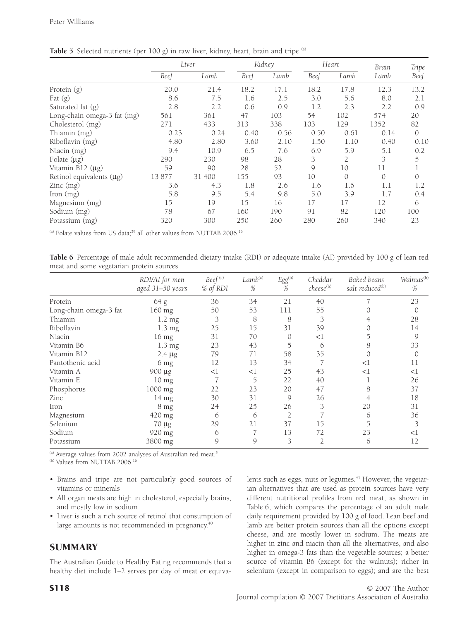|                               |       | Liver  |      | Kidney |      | Heart         | Brain         | Tripe         |
|-------------------------------|-------|--------|------|--------|------|---------------|---------------|---------------|
|                               | Beef  | Lamb   | Beef | Lamb   | Beef | Lamb          | Lamb          | Beef          |
| Protein $(g)$                 | 20.0  | 21.4   | 18.2 | 17.1   | 18.2 | 17.8          | 12.3          | 13.2          |
| Fat $(g)$                     | 8.6   | 7.5    | 1.6  | 2.5    | 3.0  | 5.6           | 8.0           | 2.1           |
| Saturated fat (g)             | 2.8   | 2.2    | 0.6  | 0.9    | 1.2  | 2.3           | 2.2           | 0.9           |
| Long-chain omega-3 fat (mg)   | 561   | 361    | 47   | 103    | 54   | 102           | 574           | 20            |
| Cholesterol (mg)              | 271   | 433    | 313  | 338    | 103  | 129           | 1352          | 82            |
| Thiamin (mg)                  | 0.23  | 0.24   | 0.40 | 0.56   | 0.50 | 0.61          | 0.14          | $\mathcal{O}$ |
| Riboflavin (mg)               | 4.80  | 2.80   | 3.60 | 2.10   | 1.50 | 1.10          | 0.40          | 0.10          |
| Niacin (mg)                   | 9.4   | 10.9   | 6.5  | 7.6    | 6.9  | 5.9           | 5.1           | 0.2           |
| Folate $(\mu g)$              | 290   | 230    | 98   | 28     | 3    | 2             | 3             | 5             |
| Vitamin B12 $(\mu g)$         | 59    | 90     | 28   | 52     | 9    | 10            | 11            | 1             |
| Retinol equivalents $(\mu g)$ | 13877 | 31 400 | 155  | 93     | 10   | $\mathcal{O}$ | $\mathcal{O}$ | 0             |
| $\text{Zinc} \text{ (mg)}$    | 3.6   | 4.3    | 1.8  | 2.6    | 1.6  | 1.6           | 1.1           | 1.2           |
| [ron (mg)]                    | 5.8   | 9.5    | 5.4  | 9.8    | 5.0  | 3.9           | 1.7           | 0.4           |
| Magnesium (mg)                | 15    | 19     | 15   | 16     | 17   | 17            | 12            | 6             |
| Sodium (mg)                   | 78    | 67     | 160  | 190    | 91   | 82            | 120           | 100           |
| Potassium (mg)                | 320   | 300    | 250  | 260    | 280  | 260           | 340           | 23            |

Table 5 Selected nutrients (per 100 g) in raw liver, kidney, heart, brain and tripe <sup>(a)</sup>

(a) Folate values from US data;<sup>39</sup> all other values from NUTTAB 2006.<sup>16</sup>

|                                          |  | Table 6 Percentage of male adult recommended dietary intake (RDI) or adequate intake (AI) provided by 100 g of lean red |  |  |  |  |  |  |  |
|------------------------------------------|--|-------------------------------------------------------------------------------------------------------------------------|--|--|--|--|--|--|--|
| meat and some vegetarian protein sources |  |                                                                                                                         |  |  |  |  |  |  |  |

|                        | RDI/AI for men<br>aged 31-50 years | Beef <sup>(a)</sup><br>% of RDI | Lamb <sup>(a)</sup><br>$\%$ | $Egg^{(b)}$<br>% | Cheddar<br>cheese <sup>(b)</sup> | Baked beans<br>salt reduced <sup>(b)</sup> | Walnuts <sup>(b)</sup><br>$\%$ |
|------------------------|------------------------------------|---------------------------------|-----------------------------|------------------|----------------------------------|--------------------------------------------|--------------------------------|
| Protein                | 64 g                               | 36                              | 34                          | 21               | 40                               |                                            | 23                             |
| Long-chain omega-3 fat | 160 mg                             | 50                              | 53                          | 111              | 55                               |                                            | $\mathcal{O}$                  |
| Thiamin                | $1.2 \text{ mg}$                   | 3                               | 8                           | 8                |                                  |                                            | 28                             |
| Riboflavin             | $1.3 \text{ mg}$                   | 25                              | 15                          | 31               | 39                               |                                            | 14                             |
| Niacin                 | $16 \text{ mg}$                    | 31                              | 70                          | $\Omega$         | $<$ l                            |                                            | 9                              |
| Vitamin B6             | $1.3 \text{ mg}$                   | 23                              | 43                          |                  | 6                                | 8                                          | 33                             |
| Vitamin B12            | $2.4 \mu g$                        | 79                              | 71                          | 58               | 35                               |                                            | $\Omega$                       |
| Pantothenic acid       | 6 mg                               | 12                              | 13                          | 34               |                                  | $<$ l                                      | 11                             |
| Vitamin A              | $900 \mu g$                        | $<$ l                           | $<$ l                       | 25               | 43                               | $<$ l                                      | $<$ l                          |
| Vitamin E              | $10 \text{ mg}$                    |                                 | 5                           | 22               | 40                               |                                            | 26                             |
| Phosphorus             | 1000 mg                            | 22                              | 23                          | 20               | 47                               | 8                                          | 37                             |
| Zinc                   | $14 \text{ mg}$                    | 30                              | 31                          | 9                | 26                               |                                            | 18                             |
| Iron                   | $8 \text{ mg}$                     | 24                              | 25                          | 26               | 3                                | 20                                         | 31                             |
| Magnesium              | 420 mg                             | 6                               | 6                           | $\overline{2}$   |                                  | 6                                          | 36                             |
| Selenium               | $70 \mu g$                         | 29                              | 21                          | 37               | 15                               |                                            | 3                              |
| Sodium                 | 920 mg                             | 6                               |                             | 13               | 72                               | 23                                         | $<$ l                          |
| Potassium              | 3800 mg                            | 9                               | 9                           | 3                | $\overline{2}$                   | 6                                          | 12                             |

<sup>(a)</sup> Average values from 2002 analyses of Australian red meat.<sup>5</sup>

 $(b)$  Values from NUTTAB 2006.<sup>16</sup>

- Brains and tripe are not particularly good sources of vitamins or minerals
- All organ meats are high in cholesterol, especially brains, and mostly low in sodium
- Liver is such a rich source of retinol that consumption of large amounts is not recommended in pregnancy.<sup>40</sup>

## **SUMMARY**

The Australian Guide to Healthy Eating recommends that a healthy diet include 1–2 serves per day of meat or equivalents such as eggs, nuts or legumes. $41$  However, the vegetarian alternatives that are used as protein sources have very different nutritional profiles from red meat, as shown in Table 6, which compares the percentage of an adult male daily requirement provided by 100 g of food. Lean beef and lamb are better protein sources than all the options except cheese, and are mostly lower in sodium. The meats are higher in zinc and niacin than all the alternatives, and also higher in omega-3 fats than the vegetable sources; a better source of vitamin B6 (except for the walnuts); richer in selenium (except in comparison to eggs); and are the best